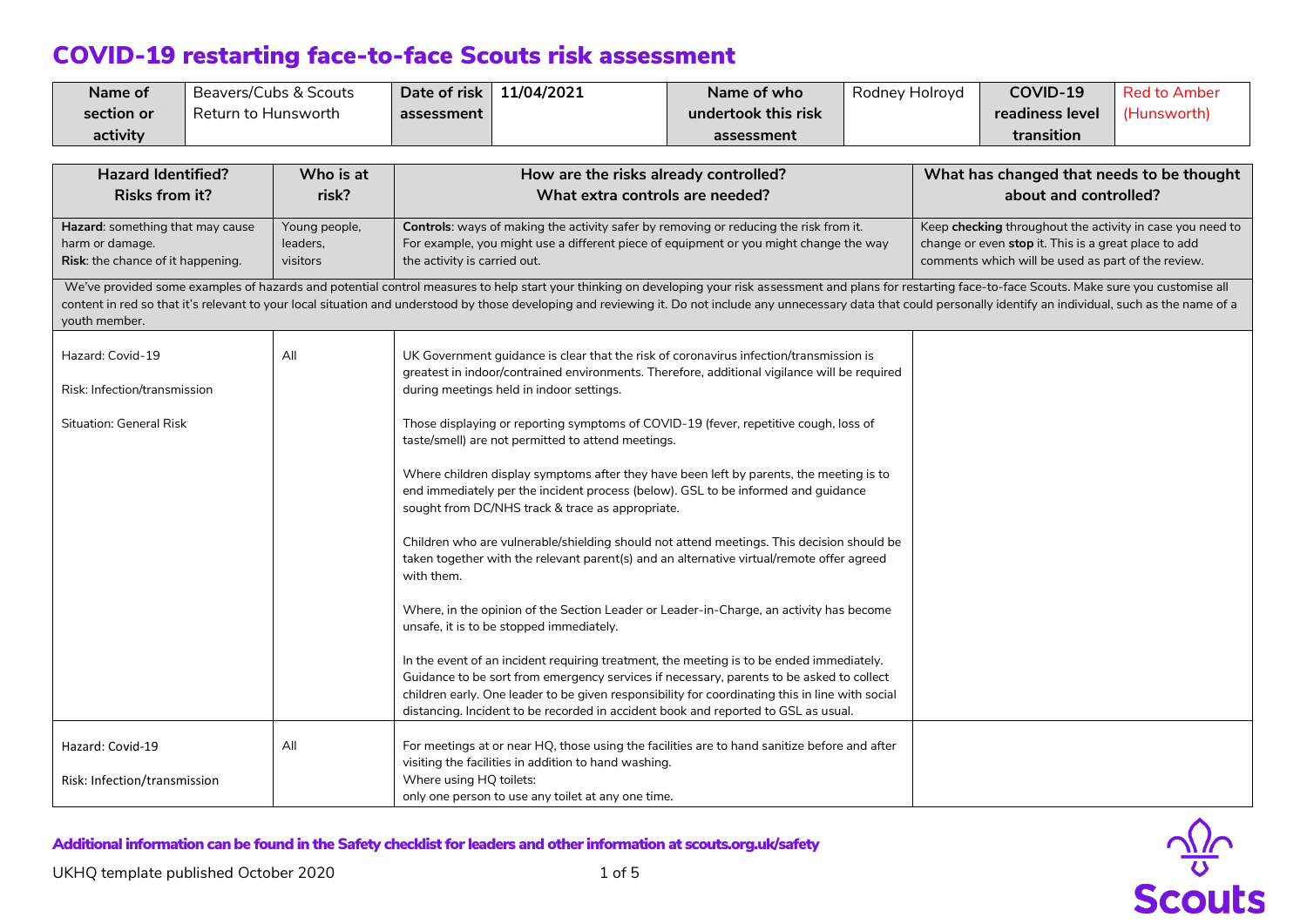| Name of    | Beavers/Cubs & Scouts | Date of risk | 11/04/2021 | Name of who         | Rodney Holroyd | COVID-19        | <b>Red to Amber</b> |
|------------|-----------------------|--------------|------------|---------------------|----------------|-----------------|---------------------|
| section or | Return to Hunsworth   | assessment   |            | undertook this risk |                | readiness level | (Hunsworth)         |
| activity   |                       |              |            | assessment          |                | transition      |                     |

| <b>Hazard Identified?</b><br><b>Risks from it?</b>                                       | Who is at<br>risk?                                                            | How are the risks already controlled?<br>What extra controls are needed?                                                                                                                                                                                                                                                                                                                                                                     | What has changed that needs to be thought<br>about and controlled?                                                                                                      |
|------------------------------------------------------------------------------------------|-------------------------------------------------------------------------------|----------------------------------------------------------------------------------------------------------------------------------------------------------------------------------------------------------------------------------------------------------------------------------------------------------------------------------------------------------------------------------------------------------------------------------------------|-------------------------------------------------------------------------------------------------------------------------------------------------------------------------|
| Hazard: something that may cause<br>harm or damage.<br>Risk: the chance of it happening. | Young people,<br>leaders,<br>visitors                                         | Controls: ways of making the activity safer by removing or reducing the risk from it.<br>For example, you might use a different piece of equipment or you might change the way<br>the activity is carried out.                                                                                                                                                                                                                               | Keep checking throughout the activity in case you need to<br>change or even stop it. This is a great place to add<br>comments which will be used as part of the review. |
| youth member.                                                                            |                                                                               | We've provided some examples of hazards and potential control measures to help start your thinking on developing your risk assessment and plans for restarting face-to-face Scouts. Make sure you customise all<br>content in red so that it's relevant to your local situation and understood by those developing and reviewing it. Do not include any unnecessary data that could personally identify an individual, such as the name of a |                                                                                                                                                                         |
| Hazard: Covid-19<br>Risk: Infection/transmission                                         | All                                                                           | UK Government guidance is clear that the risk of coronavirus infection/transmission is<br>greatest in indoor/contrained environments. Therefore, additional vigilance will be required<br>during meetings held in indoor settings.                                                                                                                                                                                                           |                                                                                                                                                                         |
| <b>Situation: General Risk</b>                                                           |                                                                               | Those displaying or reporting symptoms of COVID-19 (fever, repetitive cough, loss of<br>taste/smell) are not permitted to attend meetings.                                                                                                                                                                                                                                                                                                   |                                                                                                                                                                         |
|                                                                                          |                                                                               | Where children display symptoms after they have been left by parents, the meeting is to<br>end immediately per the incident process (below). GSL to be informed and guidance<br>sought from DC/NHS track & trace as appropriate.                                                                                                                                                                                                             |                                                                                                                                                                         |
|                                                                                          |                                                                               | Children who are vulnerable/shielding should not attend meetings. This decision should be<br>taken together with the relevant parent(s) and an alternative virtual/remote offer agreed<br>with them.                                                                                                                                                                                                                                         |                                                                                                                                                                         |
|                                                                                          |                                                                               | Where, in the opinion of the Section Leader or Leader-in-Charge, an activity has become<br>unsafe, it is to be stopped immediately.                                                                                                                                                                                                                                                                                                          |                                                                                                                                                                         |
|                                                                                          |                                                                               | In the event of an incident requiring treatment, the meeting is to be ended immediately.<br>Guidance to be sort from emergency services if necessary, parents to be asked to collect<br>children early. One leader to be given responsibility for coordinating this in line with social<br>distancing. Incident to be recorded in accident book and reported to GSL as usual.                                                                |                                                                                                                                                                         |
| Hazard: Covid-19                                                                         | All                                                                           | For meetings at or near HQ, those using the facilities are to hand sanitize before and after<br>visiting the facilities in addition to hand washing.                                                                                                                                                                                                                                                                                         |                                                                                                                                                                         |
| Risk: Infection/transmission                                                             | Where using HQ toilets:<br>only one person to use any toilet at any one time. |                                                                                                                                                                                                                                                                                                                                                                                                                                              |                                                                                                                                                                         |

Additional information can be found in the Safety checklist for leaders and other information at scouts.org.uk/safety

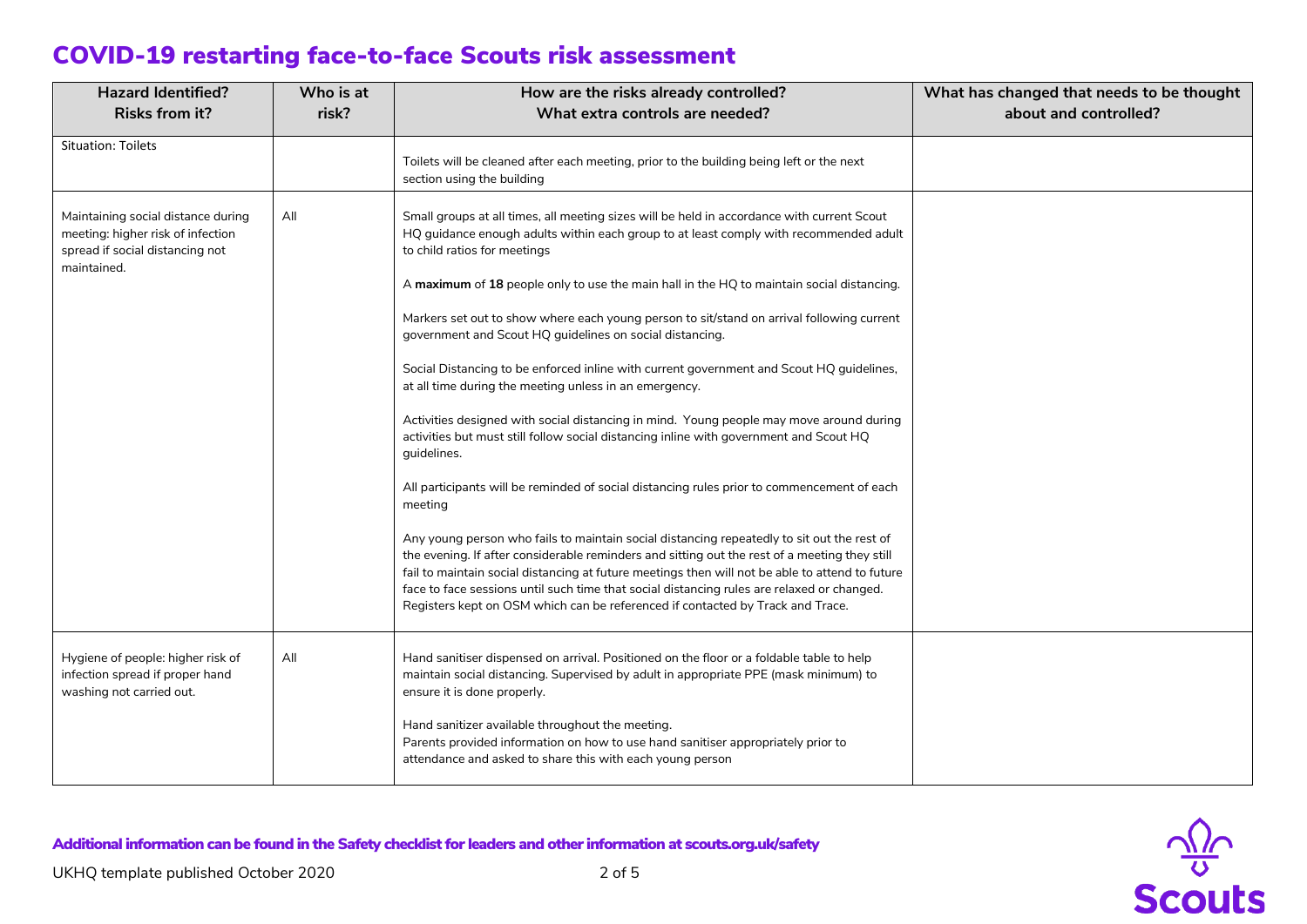| <b>Hazard Identified?</b>                                                                                                 | Who is at<br>How are the risks already controlled?                                                                                                                                                                         |                                                                                                                                                                                                                                                                                                                                                                                                                                                                                | What has changed that needs to be thought |
|---------------------------------------------------------------------------------------------------------------------------|----------------------------------------------------------------------------------------------------------------------------------------------------------------------------------------------------------------------------|--------------------------------------------------------------------------------------------------------------------------------------------------------------------------------------------------------------------------------------------------------------------------------------------------------------------------------------------------------------------------------------------------------------------------------------------------------------------------------|-------------------------------------------|
| <b>Risks from it?</b>                                                                                                     | risk?                                                                                                                                                                                                                      | What extra controls are needed?                                                                                                                                                                                                                                                                                                                                                                                                                                                | about and controlled?                     |
| <b>Situation: Toilets</b>                                                                                                 |                                                                                                                                                                                                                            | Toilets will be cleaned after each meeting, prior to the building being left or the next<br>section using the building                                                                                                                                                                                                                                                                                                                                                         |                                           |
| Maintaining social distance during<br>meeting: higher risk of infection<br>spread if social distancing not<br>maintained. | Small groups at all times, all meeting sizes will be held in accordance with current Scout<br>All<br>HQ guidance enough adults within each group to at least comply with recommended adult<br>to child ratios for meetings |                                                                                                                                                                                                                                                                                                                                                                                                                                                                                |                                           |
|                                                                                                                           |                                                                                                                                                                                                                            | A maximum of 18 people only to use the main hall in the HQ to maintain social distancing.                                                                                                                                                                                                                                                                                                                                                                                      |                                           |
|                                                                                                                           |                                                                                                                                                                                                                            | Markers set out to show where each young person to sit/stand on arrival following current<br>government and Scout HQ guidelines on social distancing.                                                                                                                                                                                                                                                                                                                          |                                           |
|                                                                                                                           |                                                                                                                                                                                                                            | Social Distancing to be enforced inline with current government and Scout HQ guidelines,<br>at all time during the meeting unless in an emergency.                                                                                                                                                                                                                                                                                                                             |                                           |
|                                                                                                                           |                                                                                                                                                                                                                            | Activities designed with social distancing in mind. Young people may move around during<br>activities but must still follow social distancing inline with government and Scout HQ<br>guidelines.                                                                                                                                                                                                                                                                               |                                           |
|                                                                                                                           |                                                                                                                                                                                                                            | All participants will be reminded of social distancing rules prior to commencement of each<br>meeting                                                                                                                                                                                                                                                                                                                                                                          |                                           |
|                                                                                                                           |                                                                                                                                                                                                                            | Any young person who fails to maintain social distancing repeatedly to sit out the rest of<br>the evening. If after considerable reminders and sitting out the rest of a meeting they still<br>fail to maintain social distancing at future meetings then will not be able to attend to future<br>face to face sessions until such time that social distancing rules are relaxed or changed.<br>Registers kept on OSM which can be referenced if contacted by Track and Trace. |                                           |
| Hygiene of people: higher risk of<br>infection spread if proper hand<br>washing not carried out.                          | All                                                                                                                                                                                                                        | Hand sanitiser dispensed on arrival. Positioned on the floor or a foldable table to help<br>maintain social distancing. Supervised by adult in appropriate PPE (mask minimum) to<br>ensure it is done properly.                                                                                                                                                                                                                                                                |                                           |
|                                                                                                                           |                                                                                                                                                                                                                            | Hand sanitizer available throughout the meeting.<br>Parents provided information on how to use hand sanitiser appropriately prior to<br>attendance and asked to share this with each young person                                                                                                                                                                                                                                                                              |                                           |

Additional information can be found in the Safety checklist for leaders and other information at scouts.org.uk/safety

 $\frac{\sqrt{2}}{8}$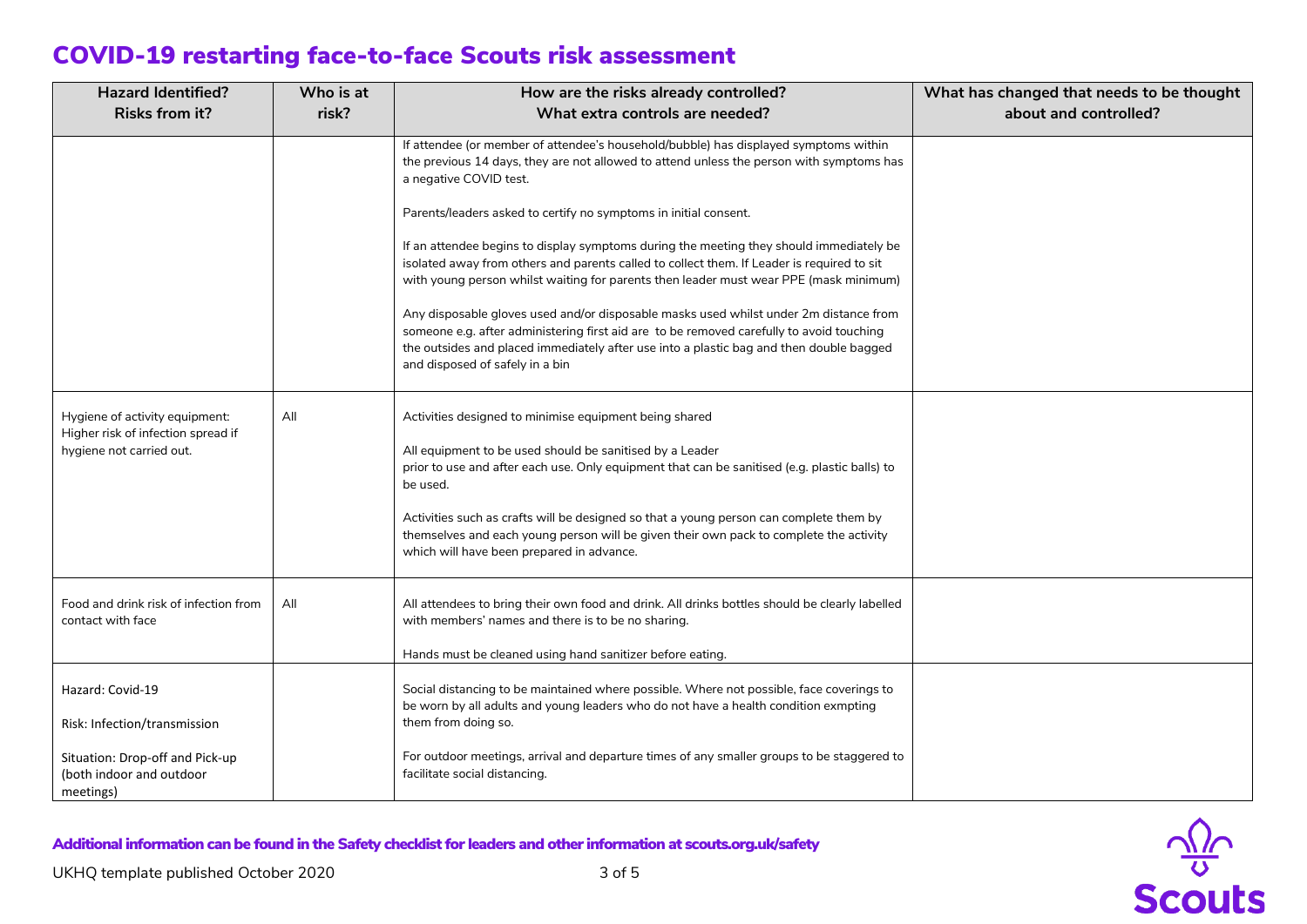| <b>Hazard Identified?</b><br>Who is at                                                           |       | How are the risks already controlled?                                                                                                                                                                                                                                                                                     | What has changed that needs to be thought |
|--------------------------------------------------------------------------------------------------|-------|---------------------------------------------------------------------------------------------------------------------------------------------------------------------------------------------------------------------------------------------------------------------------------------------------------------------------|-------------------------------------------|
| <b>Risks from it?</b>                                                                            | risk? | What extra controls are needed?                                                                                                                                                                                                                                                                                           | about and controlled?                     |
|                                                                                                  |       | If attendee (or member of attendee's household/bubble) has displayed symptoms within<br>the previous 14 days, they are not allowed to attend unless the person with symptoms has<br>a negative COVID test.                                                                                                                |                                           |
|                                                                                                  |       | Parents/leaders asked to certify no symptoms in initial consent.                                                                                                                                                                                                                                                          |                                           |
|                                                                                                  |       | If an attendee begins to display symptoms during the meeting they should immediately be<br>isolated away from others and parents called to collect them. If Leader is required to sit<br>with young person whilst waiting for parents then leader must wear PPE (mask minimum)                                            |                                           |
|                                                                                                  |       | Any disposable gloves used and/or disposable masks used whilst under 2m distance from<br>someone e.g. after administering first aid are to be removed carefully to avoid touching<br>the outsides and placed immediately after use into a plastic bag and then double bagged<br>and disposed of safely in a bin           |                                           |
| Hygiene of activity equipment:<br>Higher risk of infection spread if<br>hygiene not carried out. | All   | Activities designed to minimise equipment being shared<br>All equipment to be used should be sanitised by a Leader<br>prior to use and after each use. Only equipment that can be sanitised (e.g. plastic balls) to<br>be used.<br>Activities such as crafts will be designed so that a young person can complete them by |                                           |
|                                                                                                  |       | themselves and each young person will be given their own pack to complete the activity<br>which will have been prepared in advance.                                                                                                                                                                                       |                                           |
| Food and drink risk of infection from<br>contact with face                                       | All   | All attendees to bring their own food and drink. All drinks bottles should be clearly labelled<br>with members' names and there is to be no sharing.<br>Hands must be cleaned using hand sanitizer before eating.                                                                                                         |                                           |
| Hazard: Covid-19<br>Risk: Infection/transmission                                                 |       | Social distancing to be maintained where possible. Where not possible, face coverings to<br>be worn by all adults and young leaders who do not have a health condition exmpting<br>them from doing so.                                                                                                                    |                                           |
| Situation: Drop-off and Pick-up<br>(both indoor and outdoor<br>meetings)                         |       | For outdoor meetings, arrival and departure times of any smaller groups to be staggered to<br>facilitate social distancing.                                                                                                                                                                                               |                                           |

Additional information can be found in the Safety checklist for leaders and other information at scouts.org.uk/safety

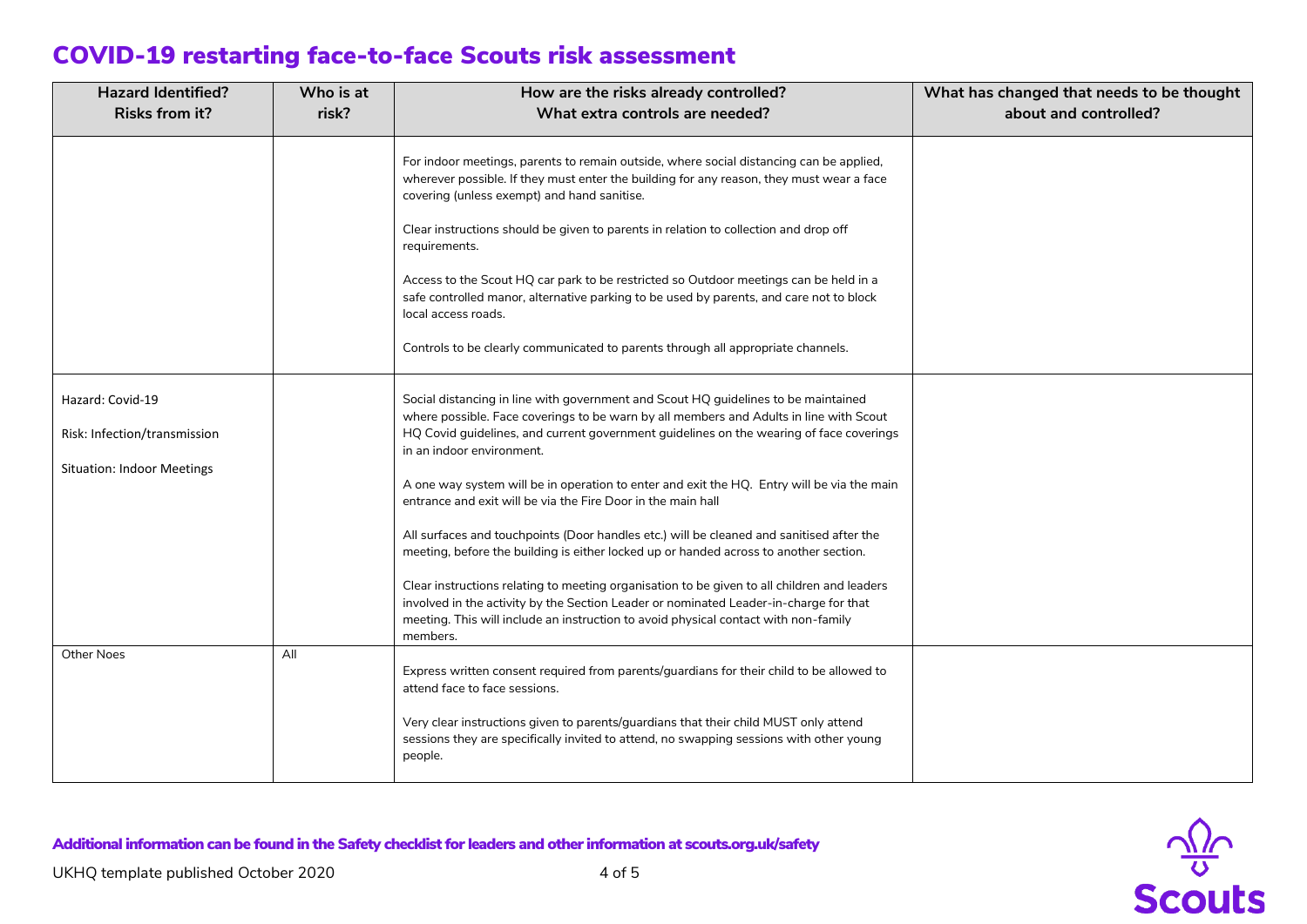| <b>Hazard Identified?</b><br>Who is at                                                |                                          | How are the risks already controlled?                                                                                                                                                                                                                                                                                                                                                                                                                                                                                                                                                                                                                                                                                                                                                                                                                                                                                                              | What has changed that needs to be thought |  |
|---------------------------------------------------------------------------------------|------------------------------------------|----------------------------------------------------------------------------------------------------------------------------------------------------------------------------------------------------------------------------------------------------------------------------------------------------------------------------------------------------------------------------------------------------------------------------------------------------------------------------------------------------------------------------------------------------------------------------------------------------------------------------------------------------------------------------------------------------------------------------------------------------------------------------------------------------------------------------------------------------------------------------------------------------------------------------------------------------|-------------------------------------------|--|
| <b>Risks from it?</b>                                                                 | risk?<br>What extra controls are needed? |                                                                                                                                                                                                                                                                                                                                                                                                                                                                                                                                                                                                                                                                                                                                                                                                                                                                                                                                                    | about and controlled?                     |  |
|                                                                                       |                                          | For indoor meetings, parents to remain outside, where social distancing can be applied,<br>wherever possible. If they must enter the building for any reason, they must wear a face<br>covering (unless exempt) and hand sanitise.<br>Clear instructions should be given to parents in relation to collection and drop off<br>requirements.<br>Access to the Scout HQ car park to be restricted so Outdoor meetings can be held in a<br>safe controlled manor, alternative parking to be used by parents, and care not to block<br>local access roads.<br>Controls to be clearly communicated to parents through all appropriate channels.                                                                                                                                                                                                                                                                                                         |                                           |  |
| Hazard: Covid-19<br>Risk: Infection/transmission<br><b>Situation: Indoor Meetings</b> |                                          | Social distancing in line with government and Scout HQ guidelines to be maintained<br>where possible. Face coverings to be warn by all members and Adults in line with Scout<br>HQ Covid guidelines, and current government guidelines on the wearing of face coverings<br>in an indoor environment.<br>A one way system will be in operation to enter and exit the HQ. Entry will be via the main<br>entrance and exit will be via the Fire Door in the main hall<br>All surfaces and touchpoints (Door handles etc.) will be cleaned and sanitised after the<br>meeting, before the building is either locked up or handed across to another section.<br>Clear instructions relating to meeting organisation to be given to all children and leaders<br>involved in the activity by the Section Leader or nominated Leader-in-charge for that<br>meeting. This will include an instruction to avoid physical contact with non-family<br>members. |                                           |  |
| <b>Other Noes</b>                                                                     | All                                      | Express written consent required from parents/guardians for their child to be allowed to<br>attend face to face sessions.<br>Very clear instructions given to parents/guardians that their child MUST only attend<br>sessions they are specifically invited to attend, no swapping sessions with other young<br>people.                                                                                                                                                                                                                                                                                                                                                                                                                                                                                                                                                                                                                            |                                           |  |

 $\frac{\sqrt{2}}{8}$